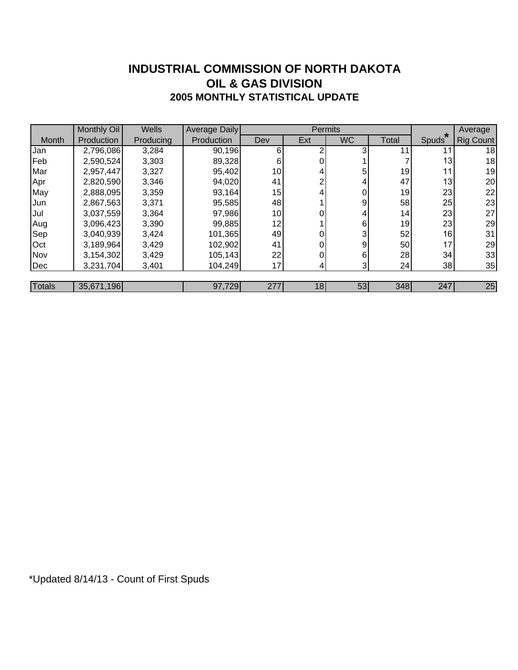### **INDUSTRIAL COMMISSION OF NORTH DAKOTA 2005 MONTHLY STATISTICAL UPDATE OIL & GAS DIVISION**

|        | Monthly Oil | <b>Wells</b> | <b>Average Daily</b> |     | <b>Permits</b> | $\star$   | Average         |                 |           |
|--------|-------------|--------------|----------------------|-----|----------------|-----------|-----------------|-----------------|-----------|
| Month  | Production  | Producing    | Production           | Dev | Ext            | <b>WC</b> | Total           | Spuds           | Rig Count |
| Jan    | 2,796,086   | 3,284        | 90,196               | 6   |                |           | 11              |                 | 18        |
| Feb    | 2,590,524   | 3,303        | 89,328               | 6   |                |           |                 | 13 <sup>1</sup> | 18        |
| Mar    | 2,957,447   | 3,327        | 95,402               | 10  |                |           | 19              | 11              | 19        |
| Apr    | 2,820,590   | 3,346        | 94,020               | 41  |                | 4         | 47              | 13              | 20        |
| May    | 2,888,095   | 3,359        | 93,164               | 15  |                |           | 19              | 23              | 22        |
| Jun    | 2,867,563   | 3,371        | 95,585               | 48  |                | 9         | 58              | 25              | 23        |
| Jul    | 3,037,559   | 3,364        | 97,986               | 10  |                | 4         | 14 <sub>l</sub> | 23              | 27        |
| Aug    | 3,096,423   | 3,390        | 99,885               | 12  |                | 6         | 19              | 23              | 29        |
| Sep    | 3,040,939   | 3,424        | 101,365              | 49  |                | 3         | 52              | 16              | 31        |
| Oct    | 3,189,964   | 3,429        | 102,902              | 41  | 0              | 9         | 50              | 17              | 29        |
| Nov    | 3,154,302   | 3,429        | 105,143              | 22  | 0              | 6         | 28              | 34              | 33        |
| Dec    | 3,231,704   | 3,401        | 104,249              | 17  |                | 3         | 24              | 38              | 35        |
|        |             |              |                      |     |                |           |                 |                 |           |
| Totals | 35,671,196  |              | 97,729               | 277 | 18             | 53        | 348             | 247             | 25        |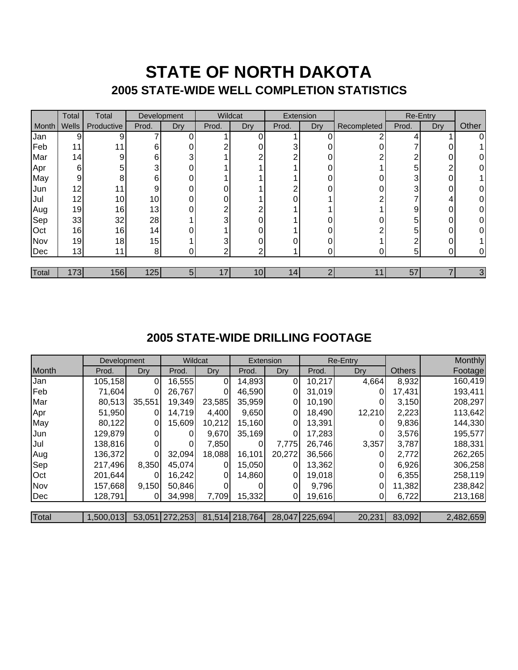### **STATE OF NORTH DAKOTA 2005 STATE-WIDE WELL COMPLETION STATISTICS**

|       | Total           | Total      | Development     |     | Wildcat |                 | Extension |     |             | Re-Entry |     |       |
|-------|-----------------|------------|-----------------|-----|---------|-----------------|-----------|-----|-------------|----------|-----|-------|
| Month | Wells           | Productive | Prod.           | Dry | Prod.   | Dry             | Prod.     | Dry | Recompleted | Prod.    | Dry | Other |
| Jan   | 9               | 9          |                 |     |         |                 |           |     | ົ           |          |     |       |
| Feb   | 11              | 11         | 6               | 0   |         | 0               | 3         |     |             |          |     |       |
| Mar   | 14 <sub>1</sub> | 9          | 6               | 3   |         | ົ               | ົ         |     |             | c        |     |       |
| Apr   | 6               | 5          | 3               | 0   |         |                 |           |     |             | 5        |     |       |
| May   | 9               | 8          | 6               | 0   |         |                 |           |     |             | 3        |     |       |
| Jun   | 12 <sub>1</sub> | 11         | 9               | 0   |         |                 | ົ         |     |             | 3        |     |       |
| Jul   | 12 <sub>1</sub> | 10         | 10              | 0   | Ω       |                 |           |     |             |          |     |       |
| Aug   | 19              | 16         | 13              | 0   | ∩       | ົ               |           |     |             | 9        |     |       |
| Sep   | 33              | 32         | 28              |     | 3       | 0               |           |     |             | 5        |     |       |
| Oct   | 16              | 16         | 14 <sub>1</sub> | 0   |         | $\Omega$        |           |     |             | 5        |     |       |
| Nov   | 19              | 18         | 15              |     | 3       | 0               | Λ         |     |             |          |     |       |
| Dec   | 13 <sub>l</sub> | 11         | 8               | 0   | ⌒       | ◠               |           |     |             | 5        |     |       |
|       |                 |            |                 |     |         |                 |           |     |             |          |     |       |
| Total | 1731            | 156        | 125             | 5   | 7       | 10 <sub>l</sub> | 14.       | ◠   |             | 57       |     | 3     |

### **2005 STATE-WIDE DRILLING FOOTAGE**

|              | Development |          | Wildcat        |        |                | <b>Re-Entry</b><br>Extension |                |        | Monthly       |           |
|--------------|-------------|----------|----------------|--------|----------------|------------------------------|----------------|--------|---------------|-----------|
| Month        | Prod.       | Dry      | Prod.          | Dry    | Prod.          | Dry                          | Prod.          | Dry    | <b>Others</b> | Footage   |
| Jan          | 105,158     | $\Omega$ | 16,555         | 0      | 14,893         | $\Omega$                     | 10,217         | 4,664  | 8,932         | 160,419   |
| Feb          | 71,604      | 0        | 26,767         |        | 46,590         |                              | 31,019         |        | 17,431        | 193,411   |
| Mar          | 80,513      | 35,551   | 19,349         | 23,585 | 35,959         |                              | 10,190         |        | 3,150         | 208,297   |
| Apr          | 51,950      | 0        | 14,719         | 4,400  | 9,650          | 0                            | 18,490         | 12,210 | 2,223         | 113,642   |
| May          | 80,122      | 0        | 15,609         | 10,212 | 15,160         | 0                            | 13,391         |        | 9,836         | 144,330   |
| IJun         | 129,879     |          |                | 9,670  | 35,169         |                              | 17,283         |        | 3,576         | 195,577   |
| Jul          | 138.816     | 0        |                | 7,850  | 0              | 7,775                        | 26,746         | 3,357  | 3,787         | 188,331   |
| Aug          | 136,372     |          | 32,094         | 18,088 | 16,101         | 20,272                       | 36,566         |        | 2,772         | 262,265   |
| Sep          | 217,496     | 8,350    | 45,074         |        | 15,050         |                              | 13,362         |        | 6,926         | 306,258   |
| Oct          | 201,644     | 0        | 16,242         | 0      | 14,860         | $\Omega$                     | 19,018         | 0      | 6,355         | 258,119   |
| Nov          | 157,668     | 9,150    | 50,846         |        |                |                              | 9,796          | 0      | 11,382        | 238,842   |
| Dec          | 128,791     |          | 34,998         | 7,709  | 15,332         |                              | 19,616         |        | 6,722         | 213,168   |
|              |             |          |                |        |                |                              |                |        |               |           |
| <b>Total</b> | 1,500,013   |          | 53,051 272,253 |        | 81,514 218,764 |                              | 28,047 225,694 | 20,231 | 83,092        | 2,482,659 |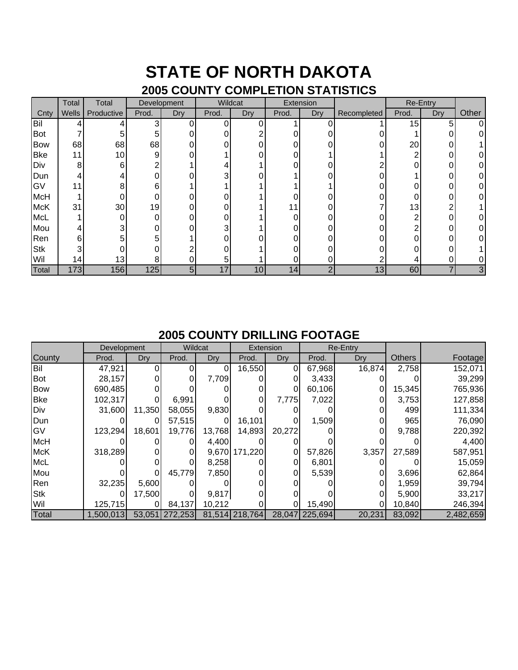# **STATE OF NORTH DAKOTA**

### **2005 COUNTY COMPLETION STATISTICS**

|            | Total           | Total           | Development |     | Wildcat |     | Extension |     |                 | Re-Entry        |     |       |
|------------|-----------------|-----------------|-------------|-----|---------|-----|-----------|-----|-----------------|-----------------|-----|-------|
| Cnty       | Wells           | Productive      | Prod.       | Dry | Prod.   | Dry | Prod.     | Dry | Recompleted     | Prod.           | Dry | Other |
| Bil        |                 |                 | 3           |     |         |     |           | ი   |                 | 15              | 5   |       |
| <b>Bot</b> |                 | 5               | 5           |     |         |     |           |     |                 |                 |     |       |
| <b>Bow</b> | 68              | 68              | 68          |     |         |     |           |     |                 | 20              |     |       |
| <b>Bke</b> | 11              | 10              | 9           |     |         |     |           |     |                 |                 |     |       |
| Div        | 8               | 6               | ◠           |     |         |     |           |     |                 |                 |     |       |
| Dun        |                 |                 |             |     | 3       |     |           |     |                 |                 |     |       |
| GV         |                 |                 | 6           |     |         |     |           |     |                 |                 |     |       |
| <b>McH</b> |                 |                 |             |     |         |     |           |     |                 |                 |     |       |
| <b>McK</b> | 31              | 30              | 19          |     | 0       |     | 11        |     |                 | 13 <sub>1</sub> | ົ   |       |
| McL        |                 |                 | Ω           |     |         |     |           |     |                 |                 |     |       |
| Mou        |                 |                 |             |     | 3       |     |           |     |                 |                 |     |       |
| Ren        | 6               | 5               | 5           |     |         |     |           |     |                 |                 |     |       |
| <b>Stk</b> | 3               |                 |             |     |         |     |           |     |                 |                 |     |       |
| Wil        | 14 <sup>1</sup> | 13 <sub>1</sub> | 8           |     | 5       |     |           |     |                 |                 |     |       |
| Total      | 173             | 156             | 125         | 5   | 17      | 10  | 14        | ∩   | 13 <sub>l</sub> | 60              |     | 3     |

### **2005 COUNTY DRILLING FOOTAGE**

|            | Development |        | Wildcat        |        | Extension      |        | Re-Entry       |        |               |           |
|------------|-------------|--------|----------------|--------|----------------|--------|----------------|--------|---------------|-----------|
| County     | Prod.       | Dry    | Prod.          | Dry    | Prod.          | Dry    | Prod.          | Dry    | <b>Others</b> | Footage   |
| Bil        | 47,921      |        |                |        | 16,550         |        | 67,968         | 16,874 | 2,758         | 152,071   |
| Bot        | 28,157      |        |                | 7,709  |                |        | 3,433          |        |               | 39,299    |
| <b>Bow</b> | 690,485     |        |                |        |                | 0      | 60,106         | 0      | 15,345        | 765,936   |
| <b>Bke</b> | 102,317     | 0      | 6,991          |        |                | 7,775  | 7,022          | 0      | 3,753         | 127,858   |
| Div        | 31,600      | 11,350 | 58,055         | 9,830  |                |        |                |        | 499           | 111,334   |
| Dun        |             |        | 57,515         |        | 16,101         |        | 1,509          |        | 965           | 76,090    |
| IG۷        | 123,294     | 18,601 | 19,776         | 13,768 | 14,893         | 20,272 |                |        | 9,788         | 220,392   |
| <b>McH</b> |             |        |                | 4,400  |                |        |                |        |               | 4,400     |
| <b>McK</b> | 318,289     |        |                | 9,670  | 171,220        | 0      | 57,826         | 3,357  | 27,589        | 587,951   |
| <b>McL</b> |             |        |                | 8,258  |                | 0      | 6,801          |        |               | 15,059    |
| Mou        |             |        | 45,779         | 7,850  |                |        | 5,539          |        | 3,696         | 62,864    |
| Ren        | 32,235      | 5,600  |                |        |                |        |                |        | 1,959         | 39,794    |
| <b>Stk</b> |             | 17,500 |                | 9,817  |                |        |                | 0      | 5,900         | 33,217    |
| Wil        | 125,715     |        | 84,137         | 10,212 |                |        | 15,490         |        | 10,840        | 246,394   |
| Total      | 1,500,013   |        | 53,051 272,253 |        | 81,514 218,764 |        | 28,047 225,694 | 20,231 | 83,092        | 2,482,659 |